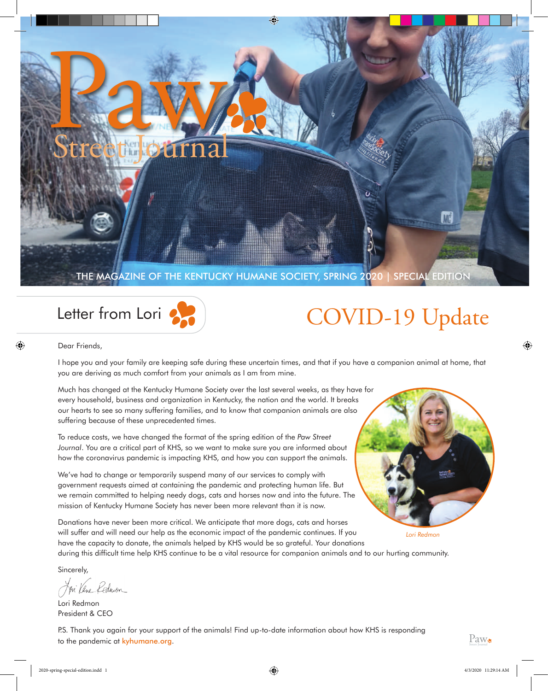

## Letter from Lori

Dear Friends,

# COVID-19 Update

*Lori Redmon*

I hope you and your family are keeping safe during these uncertain times, and that if you have a companion animal at home, that

you are deriving as much comfort from your animals as I am from mine.

Much has changed at the Kentucky Humane Society over the last several weeks, as they have for every household, business and organization in Kentucky, the nation and the world. It breaks our hearts to see so many suffering families, and to know that companion animals are also suffering because of these unprecedented times.

To reduce costs, we have changed the format of the spring edition of the *Paw Street Journal*. You are a critical part of KHS, so we want to make sure you are informed about how the coronavirus pandemic is impacting KHS, and how you can support the animals.

We've had to change or temporarily suspend many of our services to comply with government requests aimed at containing the pandemic and protecting human life. But we remain committed to helping needy dogs, cats and horses now and into the future. The mission of Kentucky Humane Society has never been more relevant than it is now.

Donations have never been more critical. We anticipate that more dogs, cats and horses will suffer and will need our help as the economic impact of the pandemic continues. If you have the capacity to donate, the animals helped by KHS would be so grateful. Your donations

during this difficult time help KHS continue to be a vital resource for companion animals and to our hurting community.

Sincerely,

Jon Vene Redmon

Lori Redmon President & CEO

P.S. Thank you again for your support of the animals! Find up-to-date information about how KHS is responding to the pandemic at kyhumane.org.



⊕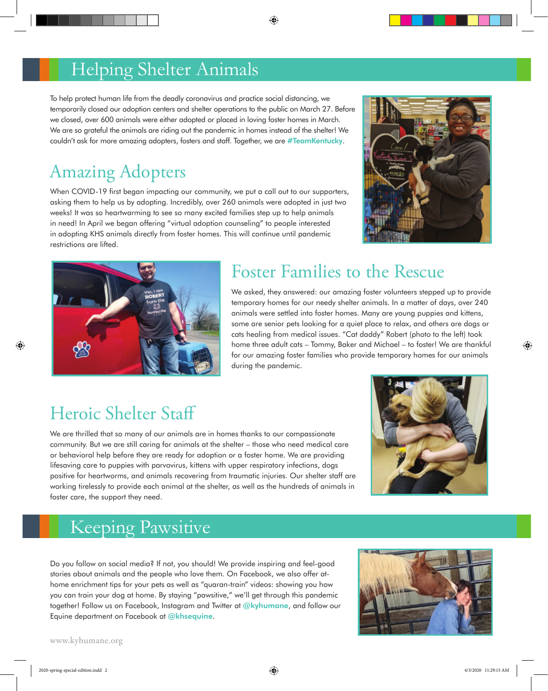#### Helping Shelter Animals

To help protect human life from the deadly coronavirus and practice social distancing, we temporarily closed our adoption centers and shelter operations to the public on March 27. Before we closed, over 600 animals were either adopted or placed in loving foster homes in March. We are so grateful the animals are riding out the pandemic in homes instead of the shelter! We couldn't ask for more amazing adopters, fosters and staff. Together, we are #TeamKentucky.

⊕

## Amazing Adopters

When COVID-19 first began impacting our community, we put a call out to our supporters, asking them to help us by adopting. Incredibly, over 260 animals were adopted in just two weeks! It was so heartwarming to see so many excited families step up to help animals in need! In April we began offering "virtual adoption counseling" to people interested in adopting KHS animals directly from foster homes. This will continue until pandemic restrictions are lifted.





#### Foster Families to the Rescue

We asked, they answered: our amazing foster volunteers stepped up to provide temporary homes for our needy shelter animals. In a matter of days, over 240 animals were settled into foster homes. Many are young puppies and kittens, some are senior pets looking for a quiet place to relax, and others are dogs or cats healing from medical issues. "Cat daddy" Robert (photo to the left) took home three adult cats – Tommy, Baker and Michael – to foster! We are thankful for our amazing foster families who provide temporary homes for our animals during the pandemic.

#### Heroic Shelter Staff

We are thrilled that so many of our animals are in homes thanks to our compassionate community. But we are still caring for animals at the shelter – those who need medical care or behavioral help before they are ready for adoption or a foster home. We are providing lifesaving care to puppies with parvovirus, kittens with upper respiratory infections, dogs positive for heartworms, and animals recovering from traumatic injuries. Our shelter staff are working tirelessly to provide each animal at the shelter, as well as the hundreds of animals in foster care, the support they need.



#### Keeping Pawsitive

Do you follow on social media? If not, you should! We provide inspiring and feel-good stories about animals and the people who love them. On Facebook, we also offer athome enrichment tips for your pets as well as "quaran-train" videos: showing you how you can train your dog at home. By staying "pawsitive," we'll get through this pandemic together! Follow us on Facebook, Instagram and Twitter at @kyhumane, and follow our Equine department on Facebook at @khsequine.



www.kyhumane.org

⊕

⊕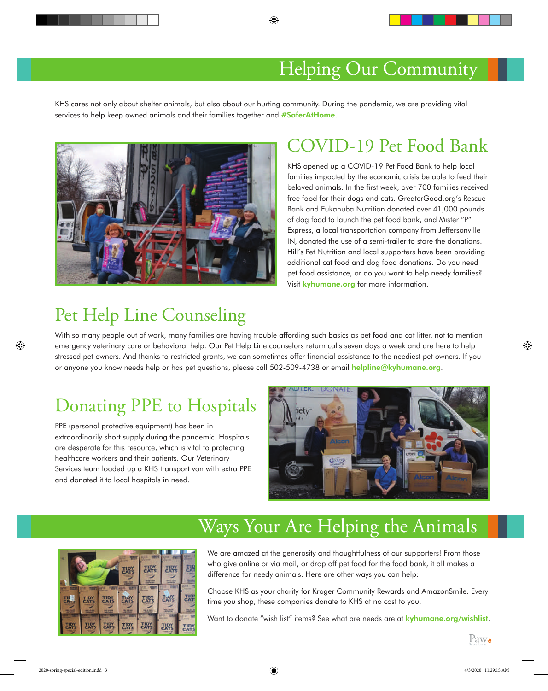#### Helping Our Community

KHS cares not only about shelter animals, but also about our hurting community. During the pandemic, we are providing vital services to help keep owned animals and their families together and #SaferAtHome.

⊕



#### COVID-19 Pet Food Bank

KHS opened up a COVID-19 Pet Food Bank to help local families impacted by the economic crisis be able to feed their beloved animals. In the first week, over 700 families received free food for their dogs and cats. GreaterGood.org's Rescue Bank and Eukanuba Nutrition donated over 41,000 pounds of dog food to launch the pet food bank, and Mister "P" Express, a local transportation company from Jeffersonville IN, donated the use of a semi-trailer to store the donations. Hill's Pet Nutrition and local supporters have been providing additional cat food and dog food donations. Do you need pet food assistance, or do you want to help needy families? Visit kyhumane.org for more information.

#### Pet Help Line Counseling

With so many people out of work, many families are having trouble affording such basics as pet food and cat litter, not to mention emergency veterinary care or behavioral help. Our Pet Help Line counselors return calls seven days a week and are here to help stressed pet owners. And thanks to restricted grants, we can sometimes offer financial assistance to the neediest pet owners. If you or anyone you know needs help or has pet questions, please call 502-509-4738 or email helpline@kyhumane.org.

#### Donating PPE to Hospitals

PPE (personal protective equipment) has been in extraordinarily short supply during the pandemic. Hospitals are desperate for this resource, which is vital to protecting healthcare workers and their patients. Our Veterinary Services team loaded up a KHS transport van with extra PPE and donated it to local hospitals in need.



## Ways Your Are Helping the Animals



We are amazed at the generosity and thoughtfulness of our supporters! From those who give online or via mail, or drop off pet food for the food bank, it all makes a difference for needy animals. Here are other ways you can help:

Choose KHS as your charity for Kroger Community Rewards and AmazonSmile. Every time you shop, these companies donate to KHS at no cost to you.

Want to donate "wish list" items? See what are needs are at **kyhumane.org/wishlist.** 

Paw.

⊕

⊕